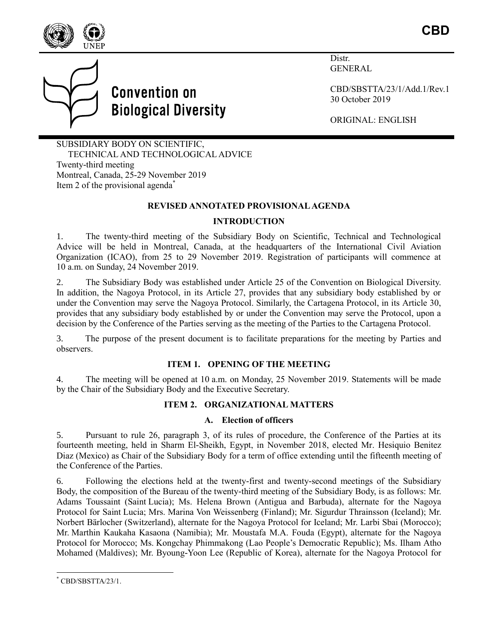



Distr. **GENERAL** 

CBD/SBSTTA/23/1/Add.1/Rev.1 30 October 2019

ORIGINAL: ENGLISH

SUBSIDIARY BODY ON SCIENTIFIC, TECHNICAL AND TECHNOLOGICAL ADVICE Twenty-third meeting Montreal, Canada, 25-29 November 2019 Item 2 of the provisional agenda<sup>\*</sup>

**Convention on** 

**Biological Diversity** 

#### **REVISED ANNOTATED PROVISIONAL AGENDA**

### **INTRODUCTION**

1. The twenty-third meeting of the Subsidiary Body on Scientific, Technical and Technological Advice will be held in Montreal, Canada, at the headquarters of the International Civil Aviation Organization (ICAO), from 25 to 29 November 2019. Registration of participants will commence at 10 a.m. on Sunday, 24 November 2019.

2. The Subsidiary Body was established under Article 25 of the Convention on Biological Diversity. In addition, the Nagoya Protocol, in its Article 27, provides that any subsidiary body established by or under the Convention may serve the Nagoya Protocol. Similarly, the Cartagena Protocol, in its Article 30, provides that any subsidiary body established by or under the Convention may serve the Protocol, upon a decision by the Conference of the Parties serving as the meeting of the Parties to the Cartagena Protocol.

3. The purpose of the present document is to facilitate preparations for the meeting by Parties and observers.

#### **ITEM 1. OPENING OF THE MEETING**

4. The meeting will be opened at 10 a.m. on Monday, 25 November 2019. Statements will be made by the Chair of the Subsidiary Body and the Executive Secretary.

# **ITEM 2. ORGANIZATIONAL MATTERS**

#### **A. Election of officers**

5. Pursuant to rule 26, paragraph 3, of its rules of procedure, the Conference of the Parties at its fourteenth meeting, held in Sharm El-Sheikh, Egypt, in November 2018, elected Mr. Hesiquio Benitez Diaz (Mexico) as Chair of the Subsidiary Body for a term of office extending until the fifteenth meeting of the Conference of the Parties.

6. Following the elections held at the twenty-first and twenty-second meetings of the Subsidiary Body, the composition of the Bureau of the twenty-third meeting of the Subsidiary Body, is as follows: Mr. Adams Toussaint (Saint Lucia); Ms. Helena Brown (Antigua and Barbuda), alternate for the Nagoya Protocol for Saint Lucia; Mrs. Marina Von Weissenberg (Finland); Mr. Sigurdur Thrainsson (Iceland); Mr. Norbert Bärlocher (Switzerland), alternate for the Nagoya Protocol for Iceland; Mr. Larbi Sbai (Morocco); Mr. Marthin Kaukaha Kasaona (Namibia); Mr. Moustafa M.A. Fouda (Egypt), alternate for the Nagoya Protocol for Morocco; Ms. Kongchay Phimmakong (Lao People's Democratic Republic); Ms. Ilham Atho Mohamed (Maldives); Mr. Byoung-Yoon Lee (Republic of Korea), alternate for the Nagoya Protocol for

l CBD/SBSTTA/23/1.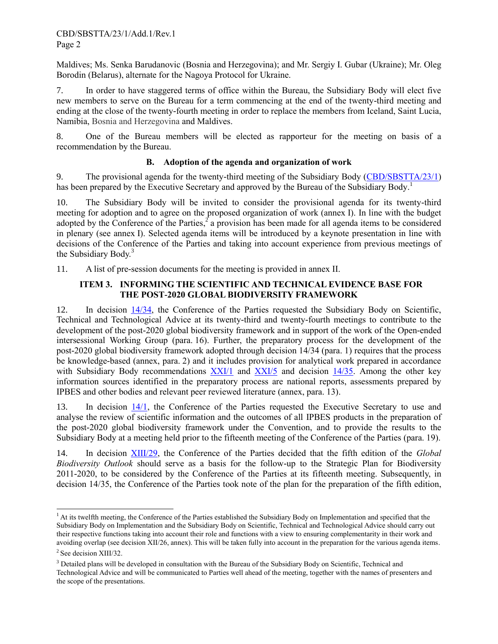Maldives; Ms. Senka Barudanovic (Bosnia and Herzegovina); and Mr. Sergiy I. Gubar (Ukraine); Mr. Oleg Borodin (Belarus), alternate for the Nagoya Protocol for Ukraine.

7. In order to have staggered terms of office within the Bureau, the Subsidiary Body will elect five new members to serve on the Bureau for a term commencing at the end of the twenty-third meeting and ending at the close of the twenty-fourth meeting in order to replace the members from Iceland, Saint Lucia, Namibia, Bosnia and Herzegovina and Maldives.

8. One of the Bureau members will be elected as rapporteur for the meeting on basis of a recommendation by the Bureau.

# **B. Adoption of the agenda and organization of work**

9. The provisional agenda for the twenty-third meeting of the Subsidiary Body [\(CBD/SBSTTA/23/1\)](https://www.cbd.int/doc/c/9f18/4476/47c0714594b6fbf85bfc31e9/sbstta-23-01-en.pdf) has been prepared by the Executive Secretary and approved by the Bureau of the Subsidiary Body.<sup>1</sup>

10. The Subsidiary Body will be invited to consider the provisional agenda for its twenty-third meeting for adoption and to agree on the proposed organization of work (annex I). In line with the budget adopted by the Conference of the Parties,  $\hat{a}$  a provision has been made for all agenda items to be considered in plenary (see annex I). Selected agenda items will be introduced by a keynote presentation in line with decisions of the Conference of the Parties and taking into account experience from previous meetings of the Subsidiary Body.<sup>3</sup>

11. A list of pre-session documents for the meeting is provided in annex II.

## **ITEM 3. INFORMING THE SCIENTIFIC AND TECHNICAL EVIDENCE BASE FOR THE POST-2020 GLOBAL BIODIVERSITY FRAMEWORK**

12. In decision [14/34,](https://www.cbd.int/doc/decisions/cop-14/cop-14-dec-34-en.pdf) the Conference of the Parties requested the Subsidiary Body on Scientific, Technical and Technological Advice at its twenty-third and twenty-fourth meetings to contribute to the development of the post-2020 global biodiversity framework and in support of the work of the Open-ended intersessional Working Group (para. 16). Further, the preparatory process for the development of the post-2020 global biodiversity framework adopted through decision 14/34 (para. 1) requires that the process be knowledge-based (annex, para. 2) and it includes provision for analytical work prepared in accordance with Subsidiary Body recommendations [XXI/1](https://www.cbd.int/doc/recommendations/sbstta-21/sbstta-21-rec-01-en.pdf) and [XXI/5](https://www.cbd.int/doc/recommendations/sbstta-21/sbstta-21-rec-05-en.pdf) and decision [14/35.](https://www.cbd.int/doc/decisions/cop-14/cop-14-dec-35-en.pdf) Among the other key information sources identified in the preparatory process are national reports, assessments prepared by IPBES and other bodies and relevant peer reviewed literature (annex, para. 13).

13. In decision [14/1,](https://www.cbd.int/doc/decisions/cop-14/cop-14-dec-01-en.pdf) the Conference of the Parties requested the Executive Secretary to use and analyse the review of scientific information and the outcomes of all IPBES products in the preparation of the post-2020 global biodiversity framework under the Convention, and to provide the results to the Subsidiary Body at a meeting held prior to the fifteenth meeting of the Conference of the Parties (para. 19).

14. In decision [XIII/29,](https://www.cbd.int/doc/decisions/cop-13/cop-13-dec-29-en.pdf) the Conference of the Parties decided that the fifth edition of the *Global Biodiversity Outlook* should serve as a basis for the follow-up to the Strategic Plan for Biodiversity 2011-2020, to be considered by the Conference of the Parties at its fifteenth meeting. Subsequently, in decision 14/35, the Conference of the Parties took note of the plan for the preparation of the fifth edition,

l

<sup>&</sup>lt;sup>1</sup> At its twelfth meeting, the Conference of the Parties established the Subsidiary Body on Implementation and specified that the Subsidiary Body on Implementation and the Subsidiary Body on Scientific, Technical and Technological Advice should carry out their respective functions taking into account their role and functions with a view to ensuring complementarity in their work and avoiding overlap (see decision XII/26, annex). This will be taken fully into account in the preparation for the various agenda items.

<sup>&</sup>lt;sup>2</sup> See decision XIII/32.

<sup>&</sup>lt;sup>3</sup> Detailed plans will be developed in consultation with the Bureau of the Subsidiary Body on Scientific, Technical and Technological Advice and will be communicated to Parties well ahead of the meeting, together with the names of presenters and the scope of the presentations.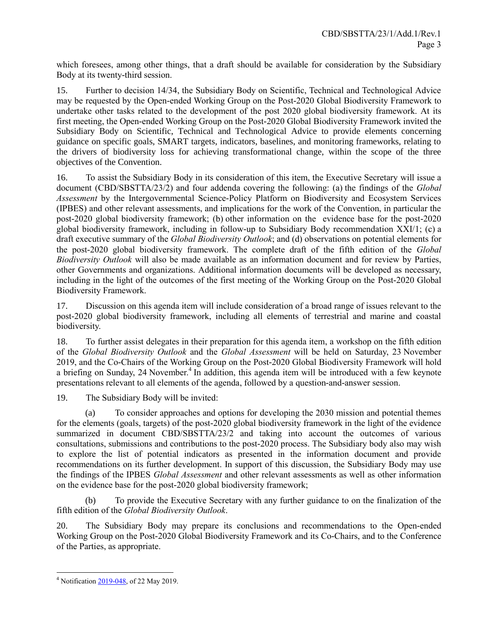which foresees, among other things, that a draft should be available for consideration by the Subsidiary Body at its twenty-third session.

15. Further to decision 14/34, the Subsidiary Body on Scientific, Technical and Technological Advice may be requested by the Open-ended Working Group on the Post-2020 Global Biodiversity Framework to undertake other tasks related to the development of the post 2020 global biodiversity framework. At its first meeting, the Open-ended Working Group on the Post-2020 Global Biodiversity Framework invited the Subsidiary Body on Scientific, Technical and Technological Advice to provide elements concerning guidance on specific goals, SMART targets, indicators, baselines, and monitoring frameworks, relating to the drivers of biodiversity loss for achieving transformational change, within the scope of the three objectives of the Convention.

16. To assist the Subsidiary Body in its consideration of this item, the Executive Secretary will issue a document (CBD/SBSTTA/23/2) and four addenda covering the following: (a) the findings of the *Global Assessment* by the Intergovernmental Science-Policy Platform on Biodiversity and Ecosystem Services (IPBES) and other relevant assessments, and implications for the work of the Convention, in particular the post-2020 global biodiversity framework; (b) other information on the evidence base for the post-2020 global biodiversity framework, including in follow-up to Subsidiary Body recommendation  $\overline{XXI}/1$ ; (c) a draft executive summary of the *Global Biodiversity Outlook*; and (d) observations on potential elements for the post-2020 global biodiversity framework. The complete draft of the fifth edition of the *Global Biodiversity Outlook* will also be made available as an information document and for review by Parties, other Governments and organizations. Additional information documents will be developed as necessary, including in the light of the outcomes of the first meeting of the Working Group on the Post-2020 Global Biodiversity Framework.

17. Discussion on this agenda item will include consideration of a broad range of issues relevant to the post-2020 global biodiversity framework, including all elements of terrestrial and marine and coastal biodiversity.

18. To further assist delegates in their preparation for this agenda item, a workshop on the fifth edition of the *Global Biodiversity Outlook* and the *Global Assessment* will be held on Saturday, 23 November 2019, and the Co-Chairs of the Working Group on the Post-2020 Global Biodiversity Framework will hold a briefing on Sunday, 24 November.<sup>4</sup> In addition, this agenda item will be introduced with a few keynote presentations relevant to all elements of the agenda, followed by a question-and-answer session.

19. The Subsidiary Body will be invited:

(a) To consider approaches and options for developing the 2030 mission and potential themes for the elements (goals, targets) of the post-2020 global biodiversity framework in the light of the evidence summarized in document CBD/SBSTTA/23/2 and taking into account the outcomes of various consultations, submissions and contributions to the post-2020 process. The Subsidiary body also may wish to explore the list of potential indicators as presented in the information document and provide recommendations on its further development. In support of this discussion, the Subsidiary Body may use the findings of the IPBES *Global Assessment* and other relevant assessments as well as other information on the evidence base for the post-2020 global biodiversity framework;

(b) To provide the Executive Secretary with any further guidance to on the finalization of the fifth edition of the *Global Biodiversity Outlook*.

20. The Subsidiary Body may prepare its conclusions and recommendations to the Open-ended Working Group on the Post-2020 Global Biodiversity Framework and its Co-Chairs, and to the Conference of the Parties, as appropriate.

l <sup>4</sup> Notificatio[n 2019-048,](https://www.cbd.int/doc/notifications/2019/ntf-2019-048-sbstta-8j-en.pdf) of 22 May 2019.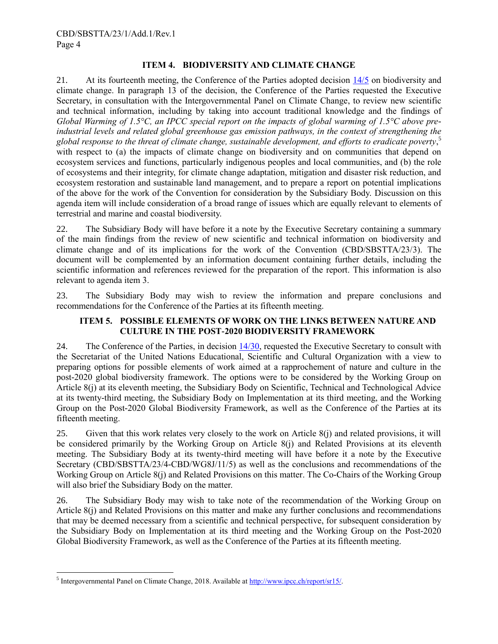## **ITEM 4. BIODIVERSITY AND CLIMATE CHANGE**

21. At its fourteenth meeting, the Conference of the Parties adopted decision  $\frac{14}{5}$  on biodiversity and climate change. In paragraph 13 of the decision, the Conference of the Parties requested the Executive Secretary, in consultation with the Intergovernmental Panel on Climate Change, to review new scientific and technical information, including by taking into account traditional knowledge and the findings of *Global Warming of 1.5°C, an IPCC special report on the impacts of global warming of 1.5°C above preindustrial levels and related global greenhouse gas emission pathways, in the context of strengthening the global response to the threat of climate change, sustainable development, and efforts to eradicate poverty*, 5 with respect to (a) the impacts of climate change on biodiversity and on communities that depend on ecosystem services and functions, particularly indigenous peoples and local communities, and (b) the role of ecosystems and their integrity, for climate change adaptation, mitigation and disaster risk reduction, and ecosystem restoration and sustainable land management, and to prepare a report on potential implications of the above for the work of the Convention for consideration by the Subsidiary Body. Discussion on this agenda item will include consideration of a broad range of issues which are equally relevant to elements of terrestrial and marine and coastal biodiversity.

22. The Subsidiary Body will have before it a note by the Executive Secretary containing a summary of the main findings from the review of new scientific and technical information on biodiversity and climate change and of its implications for the work of the Convention (CBD/SBSTTA/23/3). The document will be complemented by an information document containing further details, including the scientific information and references reviewed for the preparation of the report. This information is also relevant to agenda item 3.

23. The Subsidiary Body may wish to review the information and prepare conclusions and recommendations for the Conference of the Parties at its fifteenth meeting.

#### **ITEM 5. POSSIBLE ELEMENTS OF WORK ON THE LINKS BETWEEN NATURE AND CULTURE IN THE POST-2020 BIODIVERSITY FRAMEWORK**

24. The Conference of the Parties, in decision [14/30,](https://www.cbd.int/doc/decisions/cop-14/cop-14-dec-30-en.pdf) requested the Executive Secretary to consult with the Secretariat of the United Nations Educational, Scientific and Cultural Organization with a view to preparing options for possible elements of work aimed at a rapprochement of nature and culture in the post-2020 global biodiversity framework. The options were to be considered by the Working Group on Article 8(j) at its eleventh meeting, the Subsidiary Body on Scientific, Technical and Technological Advice at its twenty-third meeting, the Subsidiary Body on Implementation at its third meeting, and the Working Group on the Post-2020 Global Biodiversity Framework, as well as the Conference of the Parties at its fifteenth meeting.

25. Given that this work relates very closely to the work on Article 8(j) and related provisions, it will be considered primarily by the Working Group on Article 8(j) and Related Provisions at its eleventh meeting. The Subsidiary Body at its twenty-third meeting will have before it a note by the Executive Secretary (CBD/SBSTTA/23/4-CBD/WG8J/11/5) as well as the conclusions and recommendations of the Working Group on Article 8(j) and Related Provisions on this matter. The Co-Chairs of the Working Group will also brief the Subsidiary Body on the matter.

26. The Subsidiary Body may wish to take note of the recommendation of the Working Group on Article 8(j) and Related Provisions on this matter and make any further conclusions and recommendations that may be deemed necessary from a scientific and technical perspective, for subsequent consideration by the Subsidiary Body on Implementation at its third meeting and the Working Group on the Post-2020 Global Biodiversity Framework, as well as the Conference of the Parties at its fifteenth meeting.

l

<sup>&</sup>lt;sup>5</sup> Intergovernmental Panel on Climate Change, 2018. Available at **http://www.ipcc.ch/report/sr15/.**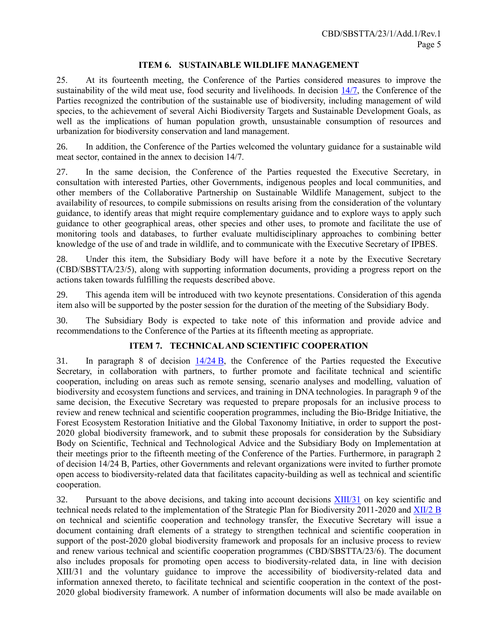#### **ITEM 6. SUSTAINABLE WILDLIFE MANAGEMENT**

25. At its fourteenth meeting, the Conference of the Parties considered measures to improve the sustainability of the wild meat use, food security and livelihoods. In decision  $\frac{14}{7}$ , the Conference of the Parties recognized the contribution of the sustainable use of biodiversity, including management of wild species, to the achievement of several Aichi Biodiversity Targets and Sustainable Development Goals, as well as the implications of human population growth, unsustainable consumption of resources and urbanization for biodiversity conservation and land management.

26. In addition, the Conference of the Parties welcomed the voluntary guidance for a sustainable wild meat sector, contained in the annex to decision 14/7.

27. In the same decision, the Conference of the Parties requested the Executive Secretary, in consultation with interested Parties, other Governments, indigenous peoples and local communities, and other members of the Collaborative Partnership on Sustainable Wildlife Management, subject to the availability of resources, to compile submissions on results arising from the consideration of the voluntary guidance, to identify areas that might require complementary guidance and to explore ways to apply such guidance to other geographical areas, other species and other uses, to promote and facilitate the use of monitoring tools and databases, to further evaluate multidisciplinary approaches to combining better knowledge of the use of and trade in wildlife, and to communicate with the Executive Secretary of IPBES.

28. Under this item, the Subsidiary Body will have before it a note by the Executive Secretary (CBD/SBSTTA/23/5), along with supporting information documents, providing a progress report on the actions taken towards fulfilling the requests described above.

29. This agenda item will be introduced with two keynote presentations. Consideration of this agenda item also will be supported by the poster session for the duration of the meeting of the Subsidiary Body.

30. The Subsidiary Body is expected to take note of this information and provide advice and recommendations to the Conference of the Parties at its fifteenth meeting as appropriate.

#### **ITEM 7. TECHNICAL AND SCIENTIFIC COOPERATION**

31. In paragraph 8 of decision  $14/24$  B, the Conference of the Parties requested the Executive Secretary, in collaboration with partners, to further promote and facilitate technical and scientific cooperation, including on areas such as remote sensing, scenario analyses and modelling, valuation of biodiversity and ecosystem functions and services, and training in DNA technologies. In paragraph 9 of the same decision, the Executive Secretary was requested to prepare proposals for an inclusive process to review and renew technical and scientific cooperation programmes, including the Bio-Bridge Initiative, the Forest Ecosystem Restoration Initiative and the Global Taxonomy Initiative, in order to support the post-2020 global biodiversity framework, and to submit these proposals for consideration by the Subsidiary Body on Scientific, Technical and Technological Advice and the Subsidiary Body on Implementation at their meetings prior to the fifteenth meeting of the Conference of the Parties. Furthermore, in paragraph 2 of decision 14/24 B, Parties, other Governments and relevant organizations were invited to further promote open access to biodiversity-related data that facilitates capacity-building as well as technical and scientific cooperation.

32. Pursuant to the above decisions, and taking into account decisions [XIII/31](https://www.cbd.int/doc/decisions/cop-13/cop-13-dec-31-en.pdf) on key scientific and technical needs related to the implementation of the Strategic Plan for Biodiversity 2011-2020 and [XII/2](https://www.cbd.int/doc/decisions/cop-12/cop-12-dec-02-en.pdf) B on technical and scientific cooperation and technology transfer, the Executive Secretary will issue a document containing draft elements of a strategy to strengthen technical and scientific cooperation in support of the post-2020 global biodiversity framework and proposals for an inclusive process to review and renew various technical and scientific cooperation programmes (CBD/SBSTTA/23/6). The document also includes proposals for promoting open access to biodiversity-related data, in line with decision XIII/31 and the voluntary guidance to improve the accessibility of biodiversity-related data and information annexed thereto, to facilitate technical and scientific cooperation in the context of the post-2020 global biodiversity framework. A number of information documents will also be made available on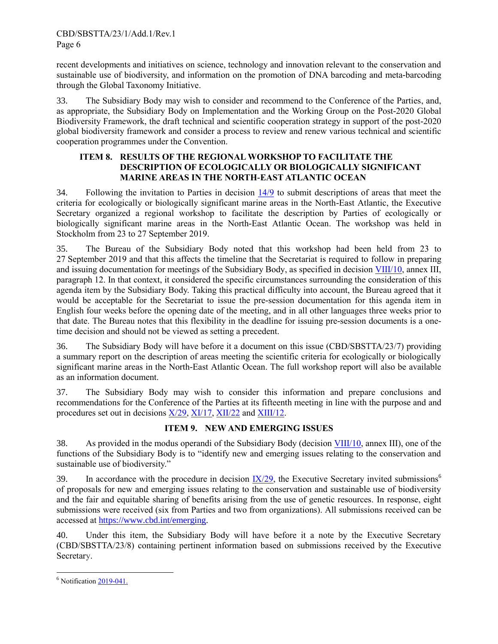recent developments and initiatives on science, technology and innovation relevant to the conservation and sustainable use of biodiversity, and information on the promotion of DNA barcoding and meta-barcoding through the Global Taxonomy Initiative.

33. The Subsidiary Body may wish to consider and recommend to the Conference of the Parties, and, as appropriate, the Subsidiary Body on Implementation and the Working Group on the Post-2020 Global Biodiversity Framework, the draft technical and scientific cooperation strategy in support of the post-2020 global biodiversity framework and consider a process to review and renew various technical and scientific cooperation programmes under the Convention.

## **ITEM 8. RESULTS OF THE REGIONAL WORKSHOP TO FACILITATE THE DESCRIPTION OF ECOLOGICALLY OR BIOLOGICALLY SIGNIFICANT MARINE AREAS IN THE NORTH-EAST ATLANTIC OCEAN**

34. Following the invitation to Parties in decision [14/9](https://www.cbd.int/doc/decisions/cop-14/cop-14-dec-09-en.pdf) to submit descriptions of areas that meet the criteria for ecologically or biologically significant marine areas in the North-East Atlantic, the Executive Secretary organized a regional workshop to facilitate the description by Parties of ecologically or biologically significant marine areas in the North-East Atlantic Ocean. The workshop was held in Stockholm from 23 to 27 September 2019.

35. The Bureau of the Subsidiary Body noted that this workshop had been held from 23 to 27 September 2019 and that this affects the timeline that the Secretariat is required to follow in preparing and issuing documentation for meetings of the Subsidiary Body, as specified in decision [VIII/10,](https://www.cbd.int/doc/decisions/cop-08/cop-08-dec-10-en.pdf) annex III, paragraph 12. In that context, it considered the specific circumstances surrounding the consideration of this agenda item by the Subsidiary Body. Taking this practical difficulty into account, the Bureau agreed that it would be acceptable for the Secretariat to issue the pre-session documentation for this agenda item in English four weeks before the opening date of the meeting, and in all other languages three weeks prior to that date. The Bureau notes that this flexibility in the deadline for issuing pre-session documents is a onetime decision and should not be viewed as setting a precedent.

36. The Subsidiary Body will have before it a document on this issue (CBD/SBSTTA/23/7) providing a summary report on the description of areas meeting the scientific criteria for ecologically or biologically significant marine areas in the North-East Atlantic Ocean. The full workshop report will also be available as an information document.

37. The Subsidiary Body may wish to consider this information and prepare conclusions and recommendations for the Conference of the Parties at its fifteenth meeting in line with the purpose and and procedures set out in decisions [X/29,](https://www.cbd.int/doc/decisions/cop-10/cop-10-dec-29-en.pdf) [XI/17,](https://www.cbd.int/doc/decisions/cop-11/cop-11-dec-17-en.pdf) [XII/22](https://www.cbd.int/doc/decisions/cop-12/cop-12-dec-22-en.pdf) and [XIII/12.](https://www.cbd.int/doc/decisions/cop-13/cop-13-dec-12-en.pdf)

# **ITEM 9. NEW AND EMERGING ISSUES**

38. As provided in the modus operandi of the Subsidiary Body (decision [VIII/10,](https://www.cbd.int/doc/decisions/cop-08/cop-08-dec-10-en.pdf) annex III), one of the functions of the Subsidiary Body is to "identify new and emerging issues relating to the conservation and sustainable use of biodiversity."

39. In accordance with the procedure in decision  $IX/29$ , the Executive Secretary invited submissions<sup>6</sup> of proposals for new and emerging issues relating to the conservation and sustainable use of biodiversity and the fair and equitable sharing of benefits arising from the use of genetic resources. In response, eight submissions were received (six from Parties and two from organizations). All submissions received can be accessed at [https://www.cbd.int/emerging.](https://www.cbd.int/emerging/)

40. Under this item, the Subsidiary Body will have before it a note by the Executive Secretary (CBD/SBSTTA/23/8) containing pertinent information based on submissions received by the Executive Secretary.

l

 $6$  Notificatio[n 2019-041.](https://www.cbd.int/doc/notifications/2019/ntf-2019-041-emerging-issues-en.pdf)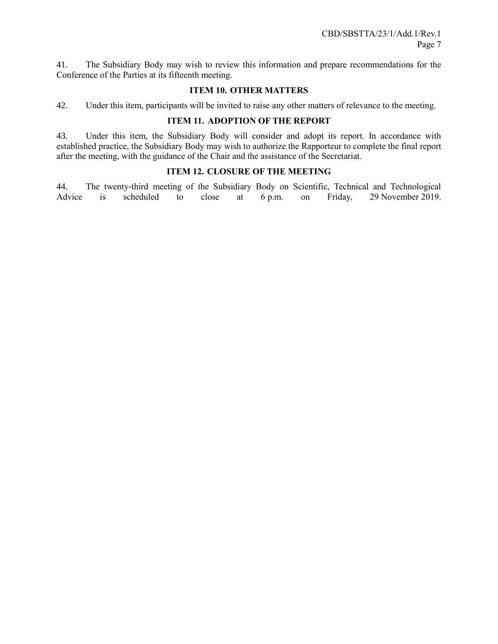41. The Subsidiary Body may wish to review this information and prepare recommendations for the Conference of the Parties at its fifteenth meeting.

### **ITEM 10. OTHER MATTERS**

42. Under this item, participants will be invited to raise any other matters of relevance to the meeting.

## **ITEM 11. ADOPTION OF THE REPORT**

43. Under this item, the Subsidiary Body will consider and adopt its report. In accordance with established practice, the Subsidiary Body may wish to authorize the Rapporteur to complete the final report after the meeting, with the guidance of the Chair and the assistance of the Secretariat.

## **ITEM 12. CLOSURE OF THE MEETING**

44. The twenty-third meeting of the Subsidiary Body on Scientific, Technical and Technological Advice is scheduled to close at 6 p.m. on Friday, 29 November 2019.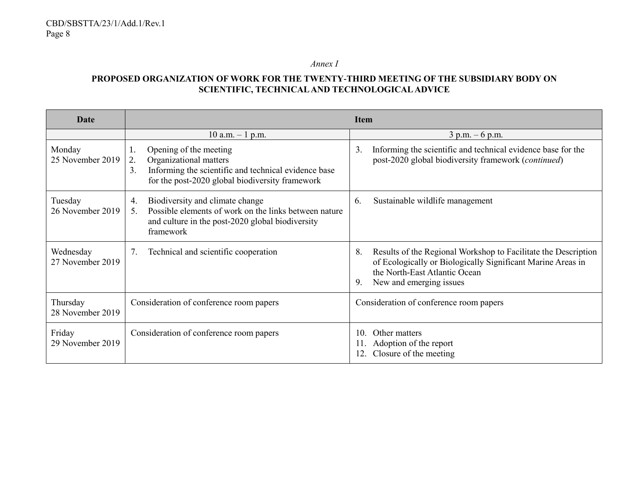*Annex I*

# **PROPOSED ORGANIZATION OF WORK FOR THE TWENTY-THIRD MEETING OF THE SUBSIDIARY BODY ON SCIENTIFIC, TECHNICAL AND TECHNOLOGICAL ADVICE**

| <b>Date</b>                   |                                                                                                                                                                               | <b>Item</b>                                                                                                                                                                                           |
|-------------------------------|-------------------------------------------------------------------------------------------------------------------------------------------------------------------------------|-------------------------------------------------------------------------------------------------------------------------------------------------------------------------------------------------------|
|                               | $10$ a.m. $-1$ p.m.                                                                                                                                                           | $3 p.m. - 6 p.m.$                                                                                                                                                                                     |
| Monday<br>25 November 2019    | Opening of the meeting<br>1.<br>Organizational matters<br>2.<br>Informing the scientific and technical evidence base<br>3.<br>for the post-2020 global biodiversity framework | Informing the scientific and technical evidence base for the<br>3.<br>post-2020 global biodiversity framework (continued)                                                                             |
| Tuesday<br>26 November 2019   | Biodiversity and climate change<br>4.<br>Possible elements of work on the links between nature<br>$5_{-}$<br>and culture in the post-2020 global biodiversity<br>framework    | Sustainable wildlife management<br>6.                                                                                                                                                                 |
| Wednesday<br>27 November 2019 | Technical and scientific cooperation<br>7.                                                                                                                                    | Results of the Regional Workshop to Facilitate the Description<br>8.<br>of Ecologically or Biologically Significant Marine Areas in<br>the North-East Atlantic Ocean<br>New and emerging issues<br>9. |
| Thursday<br>28 November 2019  | Consideration of conference room papers                                                                                                                                       | Consideration of conference room papers                                                                                                                                                               |
| Friday<br>29 November 2019    | Consideration of conference room papers                                                                                                                                       | Other matters<br>10.<br>Adoption of the report<br>11.<br>Closure of the meeting                                                                                                                       |